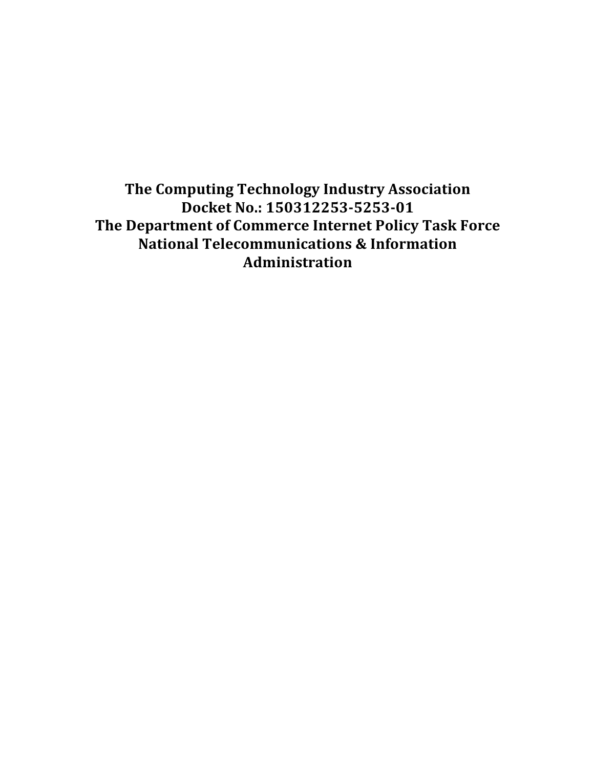**The Computing Technology Industry Association** Docket No.: 150312253-5253-01 The Department of Commerce Internet Policy Task Force **National Telecommunications & Information Administration**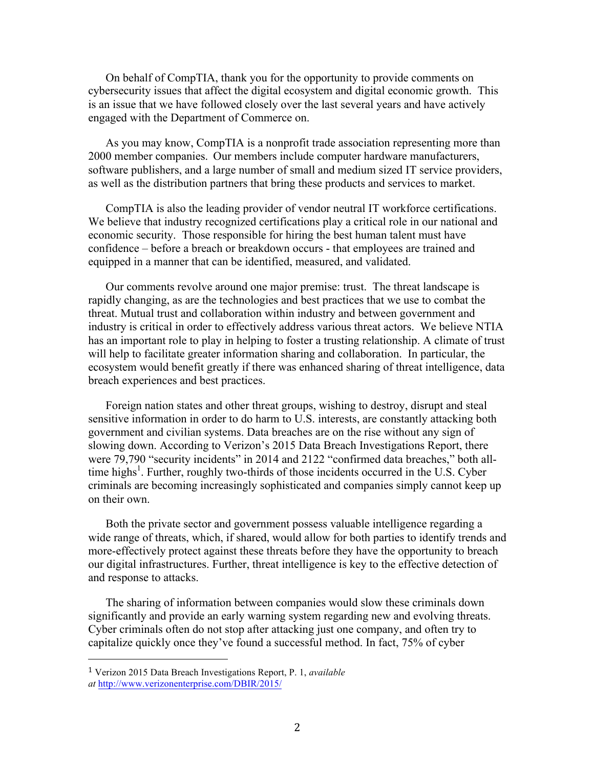On behalf of CompTIA, thank you for the opportunity to provide comments on cybersecurity issues that affect the digital ecosystem and digital economic growth. This is an issue that we have followed closely over the last several years and have actively engaged with the Department of Commerce on.

As you may know, CompTIA is a nonprofit trade association representing more than 2000 member companies. Our members include computer hardware manufacturers, software publishers, and a large number of small and medium sized IT service providers, as well as the distribution partners that bring these products and services to market.

CompTIA is also the leading provider of vendor neutral IT workforce certifications. We believe that industry recognized certifications play a critical role in our national and economic security. Those responsible for hiring the best human talent must have confidence – before a breach or breakdown occurs - that employees are trained and equipped in a manner that can be identified, measured, and validated.

Our comments revolve around one major premise: trust. The threat landscape is rapidly changing, as are the technologies and best practices that we use to combat the threat. Mutual trust and collaboration within industry and between government and industry is critical in order to effectively address various threat actors. We believe NTIA has an important role to play in helping to foster a trusting relationship. A climate of trust will help to facilitate greater information sharing and collaboration. In particular, the ecosystem would benefit greatly if there was enhanced sharing of threat intelligence, data breach experiences and best practices.

Foreign nation states and other threat groups, wishing to destroy, disrupt and steal sensitive information in order to do harm to U.S. interests, are constantly attacking both government and civilian systems. Data breaches are on the rise without any sign of slowing down. According to Verizon's 2015 Data Breach Investigations Report, there were 79,790 "security incidents" in 2014 and 2122 "confirmed data breaches," both alltime highs<sup>1</sup>. Further, roughly two-thirds of those incidents occurred in the U.S. Cyber criminals are becoming increasingly sophisticated and companies simply cannot keep up on their own.

Both the private sector and government possess valuable intelligence regarding a wide range of threats, which, if shared, would allow for both parties to identify trends and more-effectively protect against these threats before they have the opportunity to breach our digital infrastructures. Further, threat intelligence is key to the effective detection of and response to attacks.

The sharing of information between companies would slow these criminals down significantly and provide an early warning system regarding new and evolving threats. Cyber criminals often do not stop after attacking just one company, and often try to capitalize quickly once they've found a successful method. In fact, 75% of cyber

 

<sup>1</sup> Verizon 2015 Data Breach Investigations Report, P. 1, *available at* http://www.verizonenterprise.com/DBIR/2015/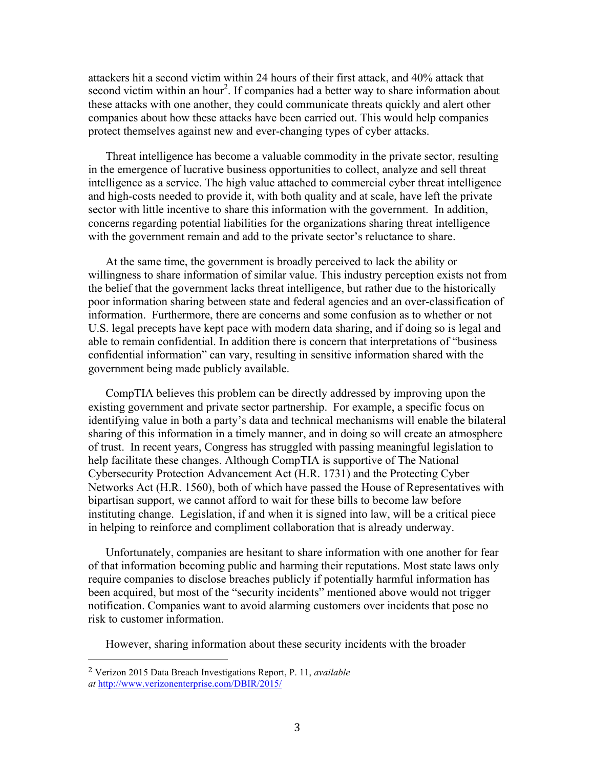attackers hit a second victim within 24 hours of their first attack, and 40% attack that second victim within an hour<sup>2</sup>. If companies had a better way to share information about these attacks with one another, they could communicate threats quickly and alert other companies about how these attacks have been carried out. This would help companies protect themselves against new and ever-changing types of cyber attacks.

Threat intelligence has become a valuable commodity in the private sector, resulting in the emergence of lucrative business opportunities to collect, analyze and sell threat intelligence as a service. The high value attached to commercial cyber threat intelligence and high-costs needed to provide it, with both quality and at scale, have left the private sector with little incentive to share this information with the government. In addition, concerns regarding potential liabilities for the organizations sharing threat intelligence with the government remain and add to the private sector's reluctance to share.

At the same time, the government is broadly perceived to lack the ability or willingness to share information of similar value. This industry perception exists not from the belief that the government lacks threat intelligence, but rather due to the historically poor information sharing between state and federal agencies and an over-classification of information. Furthermore, there are concerns and some confusion as to whether or not U.S. legal precepts have kept pace with modern data sharing, and if doing so is legal and able to remain confidential. In addition there is concern that interpretations of "business confidential information" can vary, resulting in sensitive information shared with the government being made publicly available.

CompTIA believes this problem can be directly addressed by improving upon the existing government and private sector partnership. For example, a specific focus on identifying value in both a party's data and technical mechanisms will enable the bilateral sharing of this information in a timely manner, and in doing so will create an atmosphere of trust. In recent years, Congress has struggled with passing meaningful legislation to help facilitate these changes. Although CompTIA is supportive of The National Cybersecurity Protection Advancement Act (H.R. 1731) and the Protecting Cyber Networks Act (H.R. 1560), both of which have passed the House of Representatives with bipartisan support, we cannot afford to wait for these bills to become law before instituting change. Legislation, if and when it is signed into law, will be a critical piece in helping to reinforce and compliment collaboration that is already underway.

Unfortunately, companies are hesitant to share information with one another for fear of that information becoming public and harming their reputations. Most state laws only require companies to disclose breaches publicly if potentially harmful information has been acquired, but most of the "security incidents" mentioned above would not trigger notification. Companies want to avoid alarming customers over incidents that pose no risk to customer information.

However, sharing information about these security incidents with the broader

 

<sup>2</sup> Verizon 2015 Data Breach Investigations Report, P. 11, *available at* http://www.verizonenterprise.com/DBIR/2015/